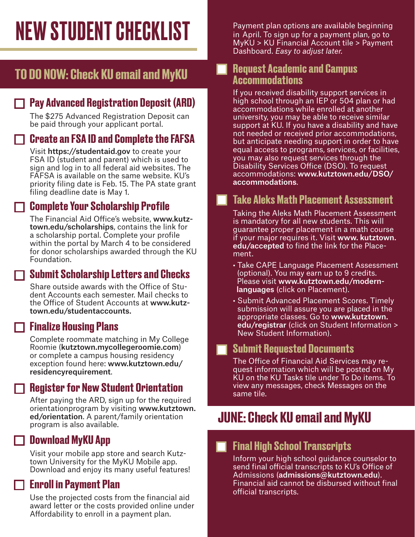# NEW STUDENT CHECKLIST Payment plan options are available beginning<br>in April. To sign up for a payment plan, go to

## TO DO NOW: Check KU email and MyKU

#### $\Box$  Pay Advanced Registration Deposit (ARD)

The \$275 Advanced Registration Deposit can be paid through your applicant portal.

#### $\Box$  Create an FSA ID and Complete the FAFSA

 Visit https://studentaid.gov to create your FSA ID (student and parent) which is used to sign and log in to all federal aid websites. The FAFSA is available on the same website. KU's priority filing date is Feb. 15. The PA state grant filing deadline date is May 1.

#### □ Complete Your Scholarship Profile

The Financial Aid Office's website, www.kutztown.edu/scholarships, contains the link for a scholarship portal. Complete your profile within the portal by March 4 to be considered for donor scholarships awarded through the KU Foundation.

#### Submit Scholarship Letters and Checks

 Share outside awards with the Office of Student Accounts each semester. Mail checks to the Office of Student Accounts at www.kutztown.edu/studentaccounts.

#### **□ Finalize Housing Plans**

Complete roommate matching in My College Roomie (kutztown.mycollegeroomie.com) or complete a campus housing residency exception found here: www.kutztown.edu/ residencyrequirement.

#### Register for New Student Orientation

 After paying the ARD, sign up for the required orientationprogram by visiting www.kutztown. ed/orientation. A parent/family orientation program is also available.

#### Download MyKU App

Visit your mobile app store and search Kutztown University for the MyKU Mobile app. Download and enjoy its many useful features!

#### $\Box$  Enroll in Payment Plan

Use the projected costs from the financial aid award letter or the costs provided online under Affordability to enroll in a payment plan.

in April. To sign up for a payment plan, go to MyKU > KU Financial Account tile > Payment Dashboard. *Easy to adjust later.*

#### **Request Academic and Campus Accommodations**

 If you received disability support services in high school through an IEP or 504 plan or had accommodations while enrolled at another university, you may be able to receive similar support at KU. If you have a disability and have not needed or received prior accommodations, but anticipate needing support in order to have equal access to programs, services, or facilities, you may also request services through the Disability Services Office (DSO). To request accommodations: www.kutztown.edu/DSO/ accommodations.

#### Take Aleks Math Placement Assessment

Taking the Aleks Math Placement Assessment is mandatory for all new students. This will guarantee proper placement in a math course if your major requires it. Visit www. kutztown. edu/accepted to find the link for the Placement.

- Take CAPE Language Placement Assessment (optional). You may earn up to 9 credits. Please visit www.kutztown.edu/modern languages (click on Placement).
- Submit Advanced Placement Scores. Timely submission will assure you are placed in the appropriate classes. Go to www.kutztown. edu/registrar (click on Student Information > New Student Information).

#### **No. 3** Submit Requested Documents

 The Office of Financial Aid Services may request information which will be posted on My KU on the KU Tasks tile under To Do items. To view any messages, check Messages on the same tile.

## JUNE: Check KU email and MyKU

#### Final High School Transcripts

Inform your high school guidance counselor to send final official transcripts to KU's Office of Admissions (admissions@kutztown.edu). Financial aid cannot be disbursed without final official transcripts.